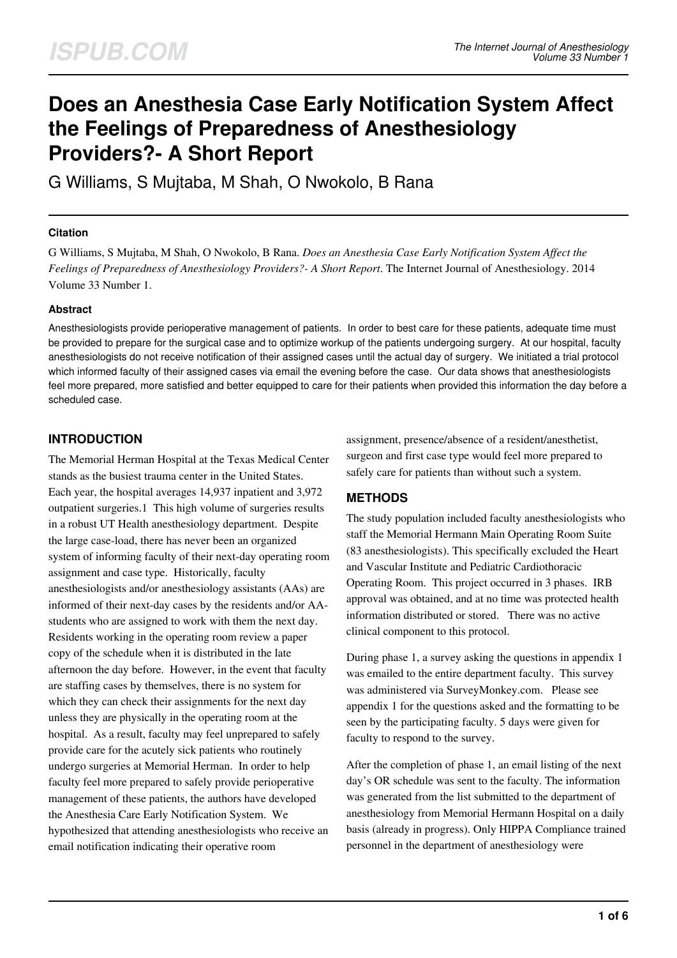# **Does an Anesthesia Case Early Notification System Affect the Feelings of Preparedness of Anesthesiology Providers?- A Short Report**

G Williams, S Mujtaba, M Shah, O Nwokolo, B Rana

#### **Citation**

G Williams, S Mujtaba, M Shah, O Nwokolo, B Rana. *Does an Anesthesia Case Early Notification System Affect the Feelings of Preparedness of Anesthesiology Providers?- A Short Report*. The Internet Journal of Anesthesiology. 2014 Volume 33 Number 1.

#### **Abstract**

Anesthesiologists provide perioperative management of patients. In order to best care for these patients, adequate time must be provided to prepare for the surgical case and to optimize workup of the patients undergoing surgery. At our hospital, faculty anesthesiologists do not receive notification of their assigned cases until the actual day of surgery. We initiated a trial protocol which informed faculty of their assigned cases via email the evening before the case. Our data shows that anesthesiologists feel more prepared, more satisfied and better equipped to care for their patients when provided this information the day before a scheduled case.

## **INTRODUCTION**

The Memorial Herman Hospital at the Texas Medical Center stands as the busiest trauma center in the United States. Each year, the hospital averages 14,937 inpatient and 3,972 outpatient surgeries.1 This high volume of surgeries results in a robust UT Health anesthesiology department. Despite the large case-load, there has never been an organized system of informing faculty of their next-day operating room assignment and case type. Historically, faculty anesthesiologists and/or anesthesiology assistants (AAs) are informed of their next-day cases by the residents and/or AAstudents who are assigned to work with them the next day. Residents working in the operating room review a paper copy of the schedule when it is distributed in the late afternoon the day before. However, in the event that faculty are staffing cases by themselves, there is no system for which they can check their assignments for the next day unless they are physically in the operating room at the hospital. As a result, faculty may feel unprepared to safely provide care for the acutely sick patients who routinely undergo surgeries at Memorial Herman. In order to help faculty feel more prepared to safely provide perioperative management of these patients, the authors have developed the Anesthesia Care Early Notification System. We hypothesized that attending anesthesiologists who receive an email notification indicating their operative room

assignment, presence/absence of a resident/anesthetist, surgeon and first case type would feel more prepared to safely care for patients than without such a system.

# **METHODS**

The study population included faculty anesthesiologists who staff the Memorial Hermann Main Operating Room Suite (83 anesthesiologists). This specifically excluded the Heart and Vascular Institute and Pediatric Cardiothoracic Operating Room. This project occurred in 3 phases. IRB approval was obtained, and at no time was protected health information distributed or stored. There was no active clinical component to this protocol.

During phase 1, a survey asking the questions in appendix 1 was emailed to the entire department faculty. This survey was administered via SurveyMonkey.com. Please see appendix 1 for the questions asked and the formatting to be seen by the participating faculty. 5 days were given for faculty to respond to the survey.

After the completion of phase 1, an email listing of the next day's OR schedule was sent to the faculty. The information was generated from the list submitted to the department of anesthesiology from Memorial Hermann Hospital on a daily basis (already in progress). Only HIPPA Compliance trained personnel in the department of anesthesiology were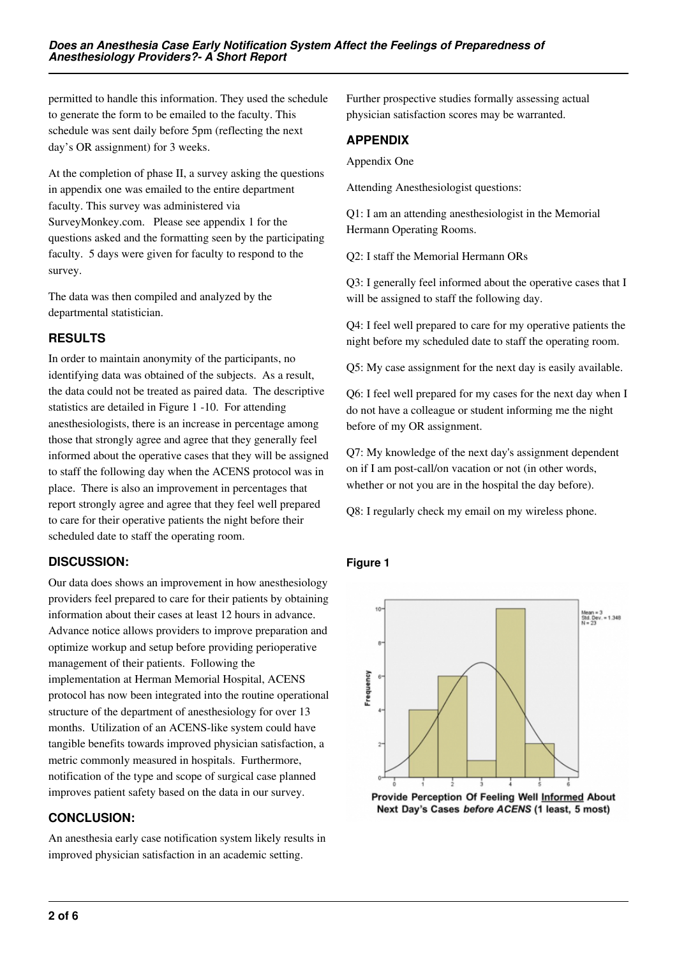permitted to handle this information. They used the schedule to generate the form to be emailed to the faculty. This schedule was sent daily before 5pm (reflecting the next day's OR assignment) for 3 weeks.

At the completion of phase II, a survey asking the questions in appendix one was emailed to the entire department faculty. This survey was administered via SurveyMonkey.com. Please see appendix 1 for the questions asked and the formatting seen by the participating faculty. 5 days were given for faculty to respond to the survey.

The data was then compiled and analyzed by the departmental statistician.

# **RESULTS**

In order to maintain anonymity of the participants, no identifying data was obtained of the subjects. As a result, the data could not be treated as paired data. The descriptive statistics are detailed in Figure 1 -10. For attending anesthesiologists, there is an increase in percentage among those that strongly agree and agree that they generally feel informed about the operative cases that they will be assigned to staff the following day when the ACENS protocol was in place. There is also an improvement in percentages that report strongly agree and agree that they feel well prepared to care for their operative patients the night before their scheduled date to staff the operating room.

## **DISCUSSION:**

Our data does shows an improvement in how anesthesiology providers feel prepared to care for their patients by obtaining information about their cases at least 12 hours in advance. Advance notice allows providers to improve preparation and optimize workup and setup before providing perioperative management of their patients. Following the implementation at Herman Memorial Hospital, ACENS protocol has now been integrated into the routine operational structure of the department of anesthesiology for over 13 months. Utilization of an ACENS-like system could have tangible benefits towards improved physician satisfaction, a metric commonly measured in hospitals. Furthermore, notification of the type and scope of surgical case planned improves patient safety based on the data in our survey.

## **CONCLUSION:**

An anesthesia early case notification system likely results in improved physician satisfaction in an academic setting.

Further prospective studies formally assessing actual physician satisfaction scores may be warranted.

## **APPENDIX**

Appendix One

Attending Anesthesiologist questions:

Q1: I am an attending anesthesiologist in the Memorial Hermann Operating Rooms.

Q2: I staff the Memorial Hermann ORs

Q3: I generally feel informed about the operative cases that I will be assigned to staff the following day.

Q4: I feel well prepared to care for my operative patients the night before my scheduled date to staff the operating room.

Q5: My case assignment for the next day is easily available.

Q6: I feel well prepared for my cases for the next day when I do not have a colleague or student informing me the night before of my OR assignment.

Q7: My knowledge of the next day's assignment dependent on if I am post-call/on vacation or not (in other words, whether or not you are in the hospital the day before).

Q8: I regularly check my email on my wireless phone.

## **Figure 1**



Next Day's Cases before ACENS (1 least, 5 most)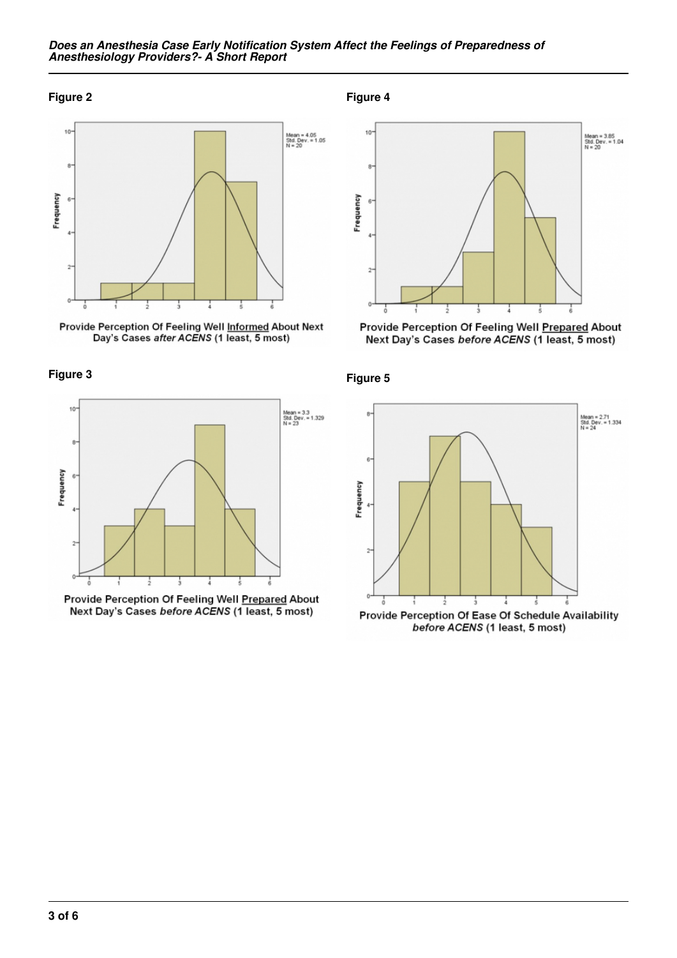#### *Does an Anesthesia Case Early Notification System Affect the Feelings of Preparedness of Anesthesiology Providers?- A Short Report*

#### **Figure 2**



Provide Perception Of Feeling Well Informed About Next<br>Day's Cases after ACENS (1 least, 5 most)





Provide Perception Of Feeling Well Prepared About Next Day's Cases before ACENS (1 least, 5 most)

**Figure 4**



Next Day's Cases before ACENS (1 least, 5 most)



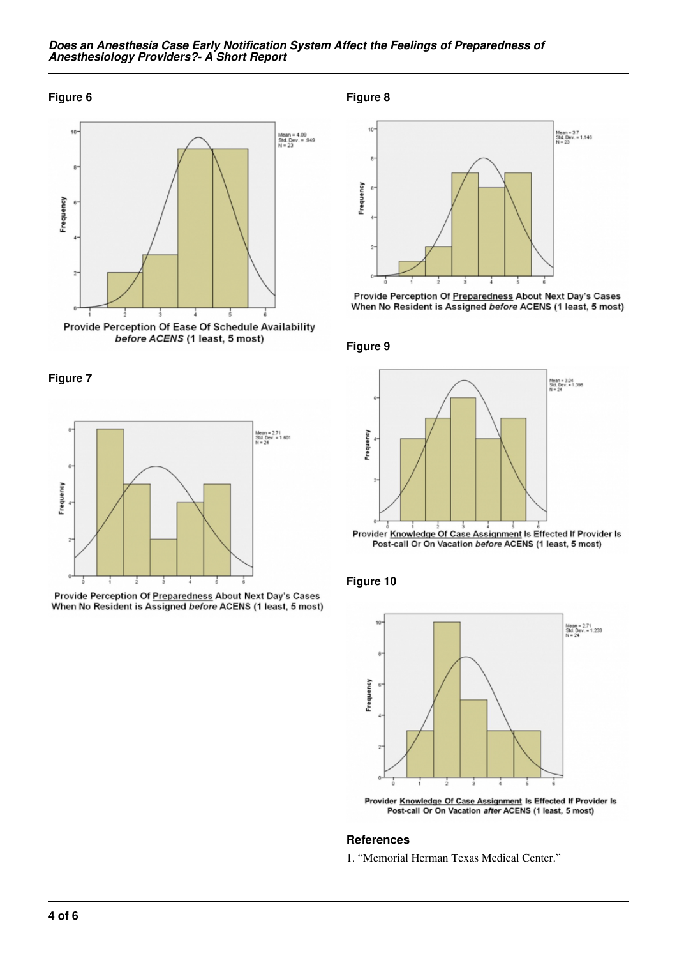#### *Does an Anesthesia Case Early Notification System Affect the Feelings of Preparedness of Anesthesiology Providers?- A Short Report*

#### **Figure 6**



**Figure 7**



Provide Perception Of Preparedness About Next Day's Cases When No Resident is Assigned before ACENS (1 least, 5 most) **Figure 8**



Provide Perception Of Preparedness About Next Day's Cases When No Resident is Assigned before ACENS (1 least, 5 most)

#### **Figure 9**



**Figure 10**



Provider Knowledge Of Case Assignment Is Effected If Provider Is<br>Post-call Or On Vacation after ACENS (1 least, 5 most)

#### **References**

1. "Memorial Herman Texas Medical Center."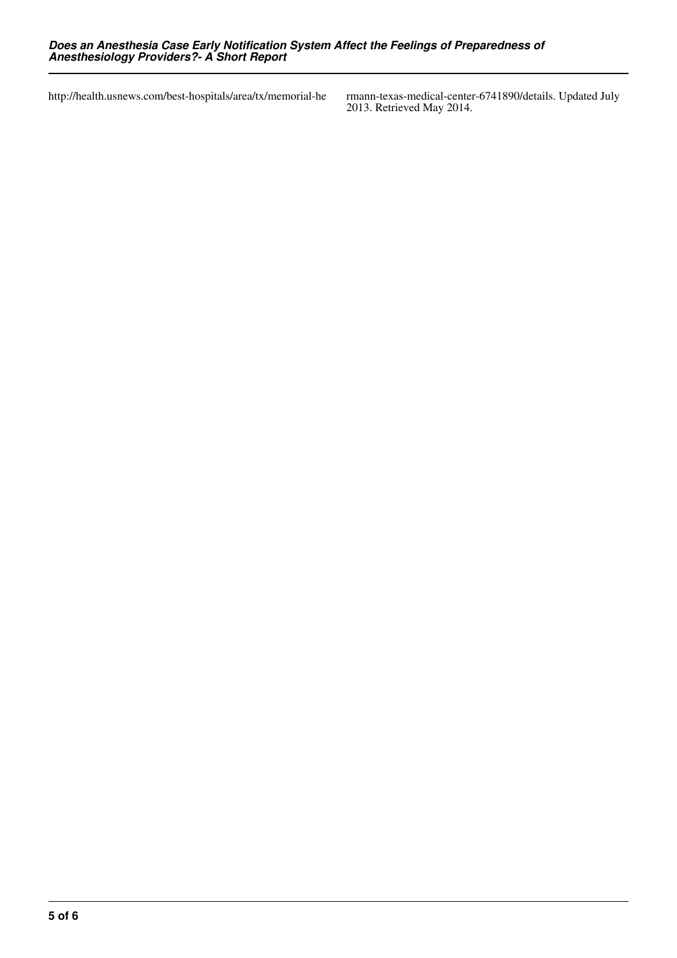http://health.usnews.com/best-hospitals/area/tx/memorial-he

2013. Retrieved May 2014.